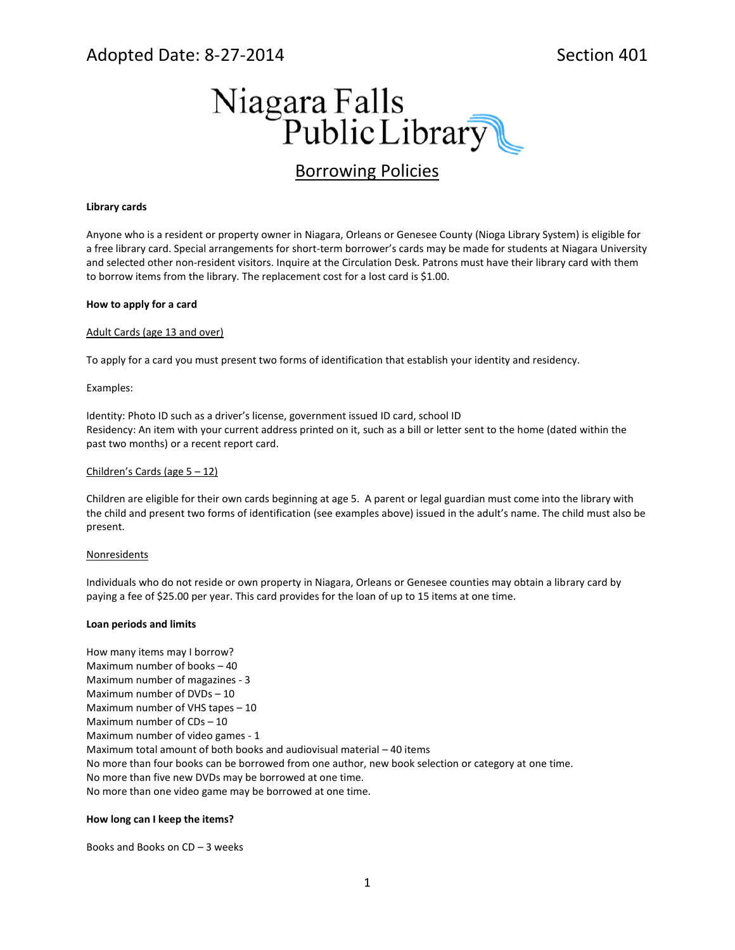# Adopted Date: 8-27-2014 Section 401



# Borrowing Policies

### **Library cards**

Anyone who is a resident or property owner in Niagara, Orleans or Genesee County (Nioga Library System) is eligible for a free library card. Special arrangements for short-term borrower's cards may be made for students at Niagara University and selected other non-resident visitors. Inquire at the Circulation Desk. Patrons must have their library card with them to borrow items from the library. The replacement cost for a lost card is \$1.00.

### **How to apply for a card**

#### Adult Cards (age 13 and over)

To apply for a card you must present two forms of identification that establish your identity and residency.

#### Examples:

Identity: Photo ID such as a driver's license, government issued ID card, school ID Residency: An item with your current address printed on it, such as a bill or letter sent to the home (dated within the past two months) or a recent report card.

#### Children's Cards (age 5 – 12)

Children are eligible for their own cards beginning at age 5. A parent or legal guardian must come into the library with the child and present two forms of identification (see examples above) issued in the adult's name. The child must also be present.

#### **Nonresidents**

Individuals who do not reside or own property in Niagara, Orleans or Genesee counties may obtain a library card by paying a fee of \$25.00 per year. This card provides for the loan of up to 15 items at one time.

#### **Loan periods and limits**

How many items may I borrow? Maximum number of books – 40 Maximum number of magazines - 3 Maximum number of DVDs – 10 Maximum number of VHS tapes – 10 Maximum number of CDs – 10 Maximum number of video games - 1 Maximum total amount of both books and audiovisual material – 40 items No more than four books can be borrowed from one author, new book selection or category at one time. No more than five new DVDs may be borrowed at one time. No more than one video game may be borrowed at one time.

#### **How long can I keep the items?**

Books and Books on CD – 3 weeks